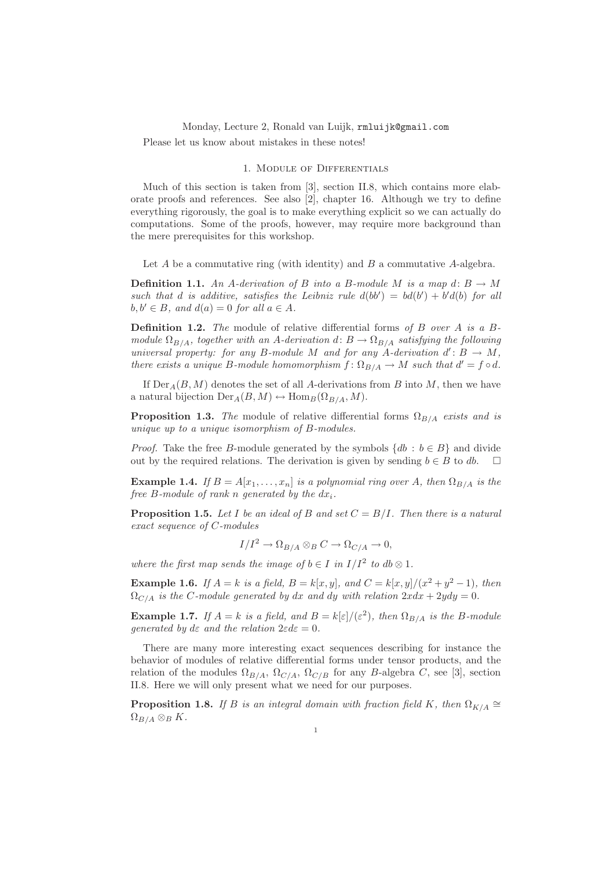## Monday, Lecture 2, Ronald van Luijk, rmluijk@gmail.com Please let us know about mistakes in these notes!

## 1. Module of Differentials

Much of this section is taken from [3], section II.8, which contains more elaborate proofs and references. See also [2], chapter 16. Although we try to define everything rigorously, the goal is to make everything explicit so we can actually do computations. Some of the proofs, however, may require more background than the mere prerequisites for this workshop.

Let  $A$  be a commutative ring (with identity) and  $B$  a commutative  $A$ -algebra.

**Definition 1.1.** An A-derivation of B into a B-module M is a map d:  $B \rightarrow M$ such that d is additive, satisfies the Leibniz rule  $d(bb') = bd(b') + b'd(b)$  for all  $b, b' \in B$ , and  $d(a) = 0$  for all  $a \in A$ .

**Definition 1.2.** The module of relative differential forms of B over A is a Bmodule  $\Omega_{B/A}$ , together with an A-derivation d:  $B \to \Omega_{B/A}$  satisfying the following universal property: for any B-module M and for any A-derivation  $d' : B \to M$ , there exists a unique B-module homomorphism  $f: \Omega_{B/A} \to M$  such that  $d' = f \circ d$ .

If  $Der_A(B, M)$  denotes the set of all A-derivations from B into M, then we have a natural bijection  $Der_A(B, M) \leftrightarrow Hom_B(\Omega_{B/A}, M)$ .

**Proposition 1.3.** The module of relative differential forms  $\Omega_{B/A}$  exists and is unique up to a unique isomorphism of B-modules.

*Proof.* Take the free B-module generated by the symbols  $\{db : b \in B\}$  and divide out by the required relations. The derivation is given by sending  $b \in B$  to db.

**Example 1.4.** If  $B = A[x_1, \ldots, x_n]$  is a polynomial ring over A, then  $\Omega_{B/A}$  is the free B-module of rank n generated by the  $dx_i$ .

**Proposition 1.5.** Let I be an ideal of B and set  $C = B/I$ . Then there is a natural exact sequence of C-modules

$$
I/I^2 \to \Omega_{B/A} \otimes_B C \to \Omega_{C/A} \to 0,
$$

where the first map sends the image of  $b \in I$  in  $I/I^2$  to  $db \otimes 1$ .

**Example 1.6.** If  $A = k$  is a field,  $B = k[x, y]$ , and  $C = k[x, y]/(x^2 + y^2 - 1)$ , then  $\Omega_{C/A}$  is the C-module generated by dx and dy with relation  $2xdx + 2ydy = 0$ .

**Example 1.7.** If  $A = k$  is a field, and  $B = k[\epsilon]/(\epsilon^2)$ , then  $\Omega_{B/A}$  is the B-module generated by dε and the relation  $2\varepsilon d\varepsilon = 0$ .

There are many more interesting exact sequences describing for instance the behavior of modules of relative differential forms under tensor products, and the relation of the modules  $\Omega_{B/A}$ ,  $\Omega_{C/A}$ ,  $\Omega_{C/B}$  for any B-algebra C, see [3], section II.8. Here we will only present what we need for our purposes.

**Proposition 1.8.** If B is an integral domain with fraction field K, then  $\Omega_{K/A} \cong$  $\Omega_{B/A} \otimes_B K$ .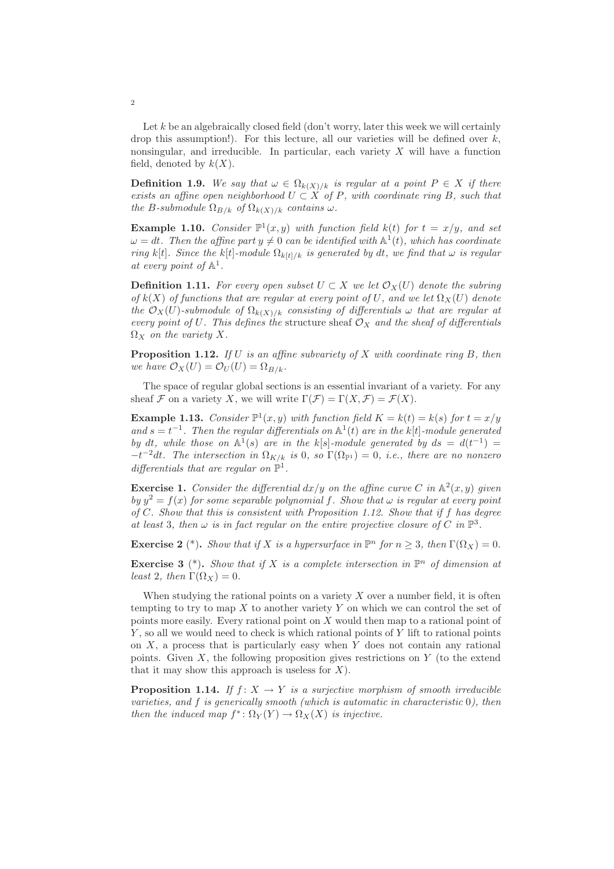Let  $k$  be an algebraically closed field (don't worry, later this week we will certainly drop this assumption!). For this lecture, all our varieties will be defined over  $k$ , nonsingular, and irreducible. In particular, each variety  $X$  will have a function field, denoted by  $k(X)$ .

**Definition 1.9.** We say that  $\omega \in \Omega_{k(X)/k}$  is regular at a point  $P \in X$  if there exists an affine open neighborhood  $U \subset X$  of P, with coordinate ring B, such that the B-submodule  $\Omega_{B/k}$  of  $\Omega_{k(X)/k}$  contains  $\omega$ .

**Example 1.10.** Consider  $\mathbb{P}^1(x, y)$  with function field  $k(t)$  for  $t = x/y$ , and set  $\omega = dt$ . Then the affine part  $y \neq 0$  can be identified with  $\mathbb{A}^1(t)$ , which has coordinate ring k[t]. Since the k[t]-module  $\Omega_{k[t]/k}$  is generated by dt, we find that  $\omega$  is regular at every point of  $\mathbb{A}^1$ .

**Definition 1.11.** For every open subset  $U \subset X$  we let  $\mathcal{O}_X(U)$  denote the subring of  $k(X)$  of functions that are regular at every point of U, and we let  $\Omega_X(U)$  denote the  $\mathcal{O}_X(U)$ -submodule of  $\Omega_{k(X)/k}$  consisting of differentials  $\omega$  that are regular at every point of U. This defines the structure sheaf  $\mathcal{O}_X$  and the sheaf of differentials  $\Omega_X$  on the variety X.

**Proposition 1.12.** If U is an affine subvariety of X with coordinate ring B, then we have  $\mathcal{O}_X(U) = \mathcal{O}_U(U) = \Omega_{B/k}$ .

The space of regular global sections is an essential invariant of a variety. For any sheaf F on a variety X, we will write  $\Gamma(\mathcal{F}) = \Gamma(X, \mathcal{F}) = \mathcal{F}(X)$ .

**Example 1.13.** Consider  $\mathbb{P}^1(x, y)$  with function field  $K = k(t) = k(s)$  for  $t = x/y$ and  $s = t^{-1}$ . Then the regular differentials on  $\mathbb{A}^1(t)$  are in the k[t]-module generated by dt, while those on  $\mathbb{A}^1(s)$  are in the k[s]-module generated by  $ds = d(t^{-1}) =$  $-t^{-2}dt$ . The intersection in  $\Omega_{K/k}$  is 0, so  $\Gamma(\Omega_{\mathbb{P}^1})=0$ , i.e., there are no nonzero differentials that are regular on  $\mathbb{P}^1$ .

**Exercise 1.** Consider the differential  $dx/y$  on the affine curve C in  $\mathbb{A}^2(x, y)$  given by  $y^2 = f(x)$  for some separable polynomial f. Show that  $\omega$  is regular at every point of  $C$ . Show that this is consistent with Proposition 1.12. Show that if  $f$  has degree at least 3, then  $\omega$  is in fact regular on the entire projective closure of C in  $\mathbb{P}^3$ .

**Exercise 2** (\*). Show that if X is a hypersurface in  $\mathbb{P}^n$  for  $n \geq 3$ , then  $\Gamma(\Omega_X) = 0$ .

**Exercise 3** (\*). Show that if X is a complete intersection in  $\mathbb{P}^n$  of dimension at least 2, then  $\Gamma(\Omega_X) = 0$ .

When studying the rational points on a variety  $X$  over a number field, it is often tempting to try to map  $X$  to another variety Y on which we can control the set of points more easily. Every rational point on  $X$  would then map to a rational point of Y, so all we would need to check is which rational points of Y lift to rational points on  $X$ , a process that is particularly easy when  $Y$  does not contain any rational points. Given  $X$ , the following proposition gives restrictions on  $Y$  (to the extend that it may show this approach is useless for  $X$ ).

**Proposition 1.14.** If  $f: X \to Y$  is a surjective morphism of smooth irreducible varieties, and  $f$  is generically smooth (which is automatic in characteristic  $0$ ), then then the induced map  $f^* \colon \Omega_Y(Y) \to \Omega_X(X)$  is injective.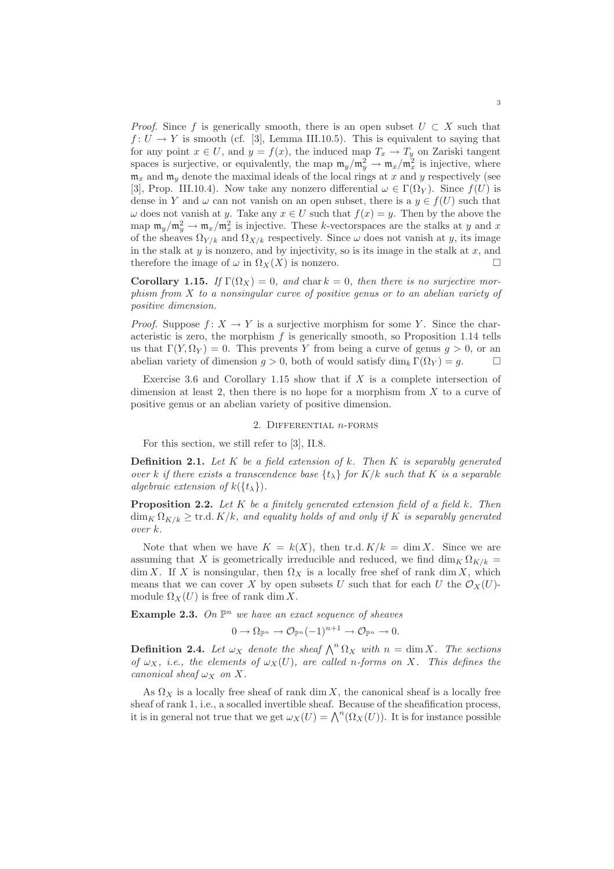*Proof.* Since f is generically smooth, there is an open subset  $U \subset X$  such that  $f: U \to Y$  is smooth (cf. [3], Lemma III.10.5). This is equivalent to saying that for any point  $x \in U$ , and  $y = f(x)$ , the induced map  $T_x \to T_y$  on Zariski tangent spaces is surjective, or equivalently, the map  $m_y/m_y^2 \to m_x/m_x^2$  is injective, where  $\mathfrak{m}_x$  and  $\mathfrak{m}_y$  denote the maximal ideals of the local rings at x and y respectively (see [3], Prop. III.10.4). Now take any nonzero differential  $\omega \in \Gamma(\Omega_Y)$ . Since  $f(U)$  is dense in Y and  $\omega$  can not vanish on an open subset, there is a  $y \in f(U)$  such that  $\omega$  does not vanish at y. Take any  $x \in U$  such that  $f(x) = y$ . Then by the above the map  $\mathfrak{m}_y/\mathfrak{m}_y^2 \to \mathfrak{m}_x/\mathfrak{m}_x^2$  is injective. These k-vectorspaces are the stalks at y and x of the sheaves  $\Omega_{Y/k}$  and  $\Omega_{X/k}$  respectively. Since  $\omega$  does not vanish at y, its image in the stalk at  $y$  is nonzero, and by injectivity, so is its image in the stalk at  $x$ , and therefore the image of  $\omega$  in  $\Omega_X(X)$  is nonzero.

Corollary 1.15. If  $\Gamma(\Omega_X) = 0$ , and char  $k = 0$ , then there is no surjective morphism from X to a nonsingular curve of positive genus or to an abelian variety of positive dimension.

*Proof.* Suppose  $f: X \to Y$  is a surjective morphism for some Y. Since the characteristic is zero, the morphism  $f$  is generically smooth, so Proposition 1.14 tells us that  $\Gamma(Y, \Omega_Y) = 0$ . This prevents Y from being a curve of genus  $q > 0$ , or an abelian variety of dimension  $q > 0$ , both of would satisfy  $\dim_k \Gamma(\Omega_Y) = q$ .

Exercise 3.6 and Corollary 1.15 show that if  $X$  is a complete intersection of dimension at least 2, then there is no hope for a morphism from  $X$  to a curve of positive genus or an abelian variety of positive dimension.

## 2. DIFFERENTIAL  $n$ -FORMS

For this section, we still refer to [3], II.8.

**Definition 2.1.** Let  $K$  be a field extension of  $k$ . Then  $K$  is separably generated over k if there exists a transcendence base  $\{t_{\lambda}\}\$  for  $K/k$  such that K is a separable algebraic extension of  $k({t_{\lambda}})$ .

**Proposition 2.2.** Let K be a finitely generated extension field of a field k. Then  $\dim_K \Omega_{K/k} \geq \text{tr.d. } K/k$ , and equality holds of and only if K is separably generated over k.

Note that when we have  $K = k(X)$ , then tr.d.  $K/k = \dim X$ . Since we are assuming that X is geometrically irreducible and reduced, we find  $\dim_K \Omega_{K/k}$  = dim X. If X is nonsingular, then  $\Omega_X$  is a locally free shef of rank dim X, which means that we can cover X by open subsets U such that for each U the  $\mathcal{O}_X(U)$ module  $\Omega_X(U)$  is free of rank dim X.

**Example 2.3.** On  $\mathbb{P}^n$  we have an exact sequence of sheaves

 $0 \to \Omega_{\mathbb{P}^n} \to \mathcal{O}_{\mathbb{P}^n}(-1)^{n+1} \to \mathcal{O}_{\mathbb{P}^n} \to 0.$ 

**Definition 2.4.** Let  $\omega_X$  denote the sheaf  $\bigwedge^n \Omega_X$  with  $n = \dim X$ . The sections of  $\omega_X$ , i.e., the elements of  $\omega_X(U)$ , are called n-forms on X. This defines the canonical sheaf  $\omega_X$  on X.

As  $\Omega_X$  is a locally free sheaf of rank dim X, the canonical sheaf is a locally free sheaf of rank 1, i.e., a socalled invertible sheaf. Because of the sheafification process, it is in general not true that we get  $\omega_X(U) = \bigwedge^n (\Omega_X(U))$ . It is for instance possible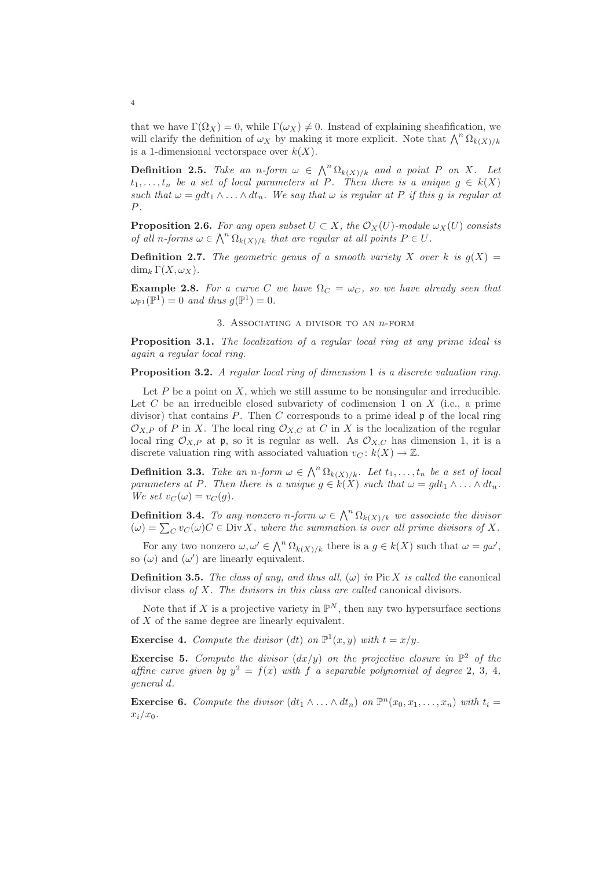that we have  $\Gamma(\Omega_X) = 0$ , while  $\Gamma(\omega_X) \neq 0$ . Instead of explaining sheafification, we will clarify the definition of  $\omega_X$  by making it more explicit. Note that  $\bigwedge^n \Omega_{k(X)/k}$ is a 1-dimensional vectorspace over  $k(X)$ .

**Definition 2.5.** Take an n-form  $\omega \in \bigwedge^n \Omega_{k(X)/k}$  and a point P on X. Let  $t_1,\ldots,t_n$  be a set of local parameters at P. Then there is a unique  $g \in k(X)$ such that  $\omega = g dt_1 \wedge \ldots \wedge dt_n$ . We say that  $\omega$  is regular at P if this g is regular at P.

**Proposition 2.6.** For any open subset  $U \subset X$ , the  $\mathcal{O}_X(U)$ -module  $\omega_X(U)$  consists of all n-forms  $\omega \in \bigwedge^n \Omega_{k(X)/k}$  that are regular at all points  $P \in U$ .

**Definition 2.7.** The geometric genus of a smooth variety X over k is  $g(X) =$ dim<sub>k</sub>  $\Gamma(X,\omega_X)$ .

**Example 2.8.** For a curve C we have  $\Omega_C = \omega_C$ , so we have already seen that  $\omega_{\mathbb{P}^1}(\mathbb{P}^1) = 0$  and thus  $g(\mathbb{P}^1) = 0$ .

3. ASSOCIATING A DIVISOR TO AN  $n$ -FORM

Proposition 3.1. The localization of a regular local ring at any prime ideal is again a regular local ring.

**Proposition 3.2.** A regular local ring of dimension 1 is a discrete valuation ring.

Let  $P$  be a point on  $X$ , which we still assume to be nonsingular and irreducible. Let  $C$  be an irreducible closed subvariety of codimension 1 on  $X$  (i.e., a prime divisor) that contains  $P$ . Then  $C$  corresponds to a prime ideal  $\mathfrak p$  of the local ring  $\mathcal{O}_{X,P}$  of P in X. The local ring  $\mathcal{O}_{X,C}$  at C in X is the localization of the regular local ring  $\mathcal{O}_{X,P}$  at p, so it is regular as well. As  $\mathcal{O}_{X,C}$  has dimension 1, it is a discrete valuation ring with associated valuation  $v<sub>C</sub> : k(X) \to \mathbb{Z}$ .

**Definition 3.3.** Take an n-form  $\omega \in \bigwedge^n \Omega_{k(X)/k}$ . Let  $t_1, \ldots, t_n$  be a set of local parameters at P. Then there is a unique  $g \in k(X)$  such that  $\omega = g dt_1 \wedge \ldots \wedge dt_n$ . We set  $v_C(\omega) = v_C(q)$ .

**Definition 3.4.** To any nonzero n-form  $\omega \in \bigwedge^n \Omega_{k(X)/k}$  we associate the divisor  $L(\omega) = \sum_C v_C(\omega)C \in \text{Div } X$ , where the summation is over all prime divisors of X.

For any two nonzero  $\omega, \omega' \in \bigwedge^n \Omega_{k(X)/k}$  there is a  $g \in k(X)$  such that  $\omega = g\omega'$ , so  $(\omega)$  and  $(\omega')$  are linearly equivalent.

**Definition 3.5.** The class of any, and thus all,  $(\omega)$  in Pic X is called the canonical divisor class of X. The divisors in this class are called canonical divisors.

Note that if X is a projective variety in  $\mathbb{P}^N$ , then any two hypersurface sections of  $X$  of the same degree are linearly equivalent.

**Exercise 4.** Compute the divisor (dt) on  $\mathbb{P}^1(x, y)$  with  $t = x/y$ .

**Exercise 5.** Compute the divisor  $\left(\frac{dx}{y}\right)$  on the projective closure in  $\mathbb{P}^2$  of the affine curve given by  $y^2 = f(x)$  with f a separable polynomial of degree 2, 3, 4, general d.

**Exercise 6.** Compute the divisor  $(dt_1 \wedge ... \wedge dt_n)$  on  $\mathbb{P}^n(x_0, x_1, ..., x_n)$  with  $t_i =$  $x_i/x_0$ .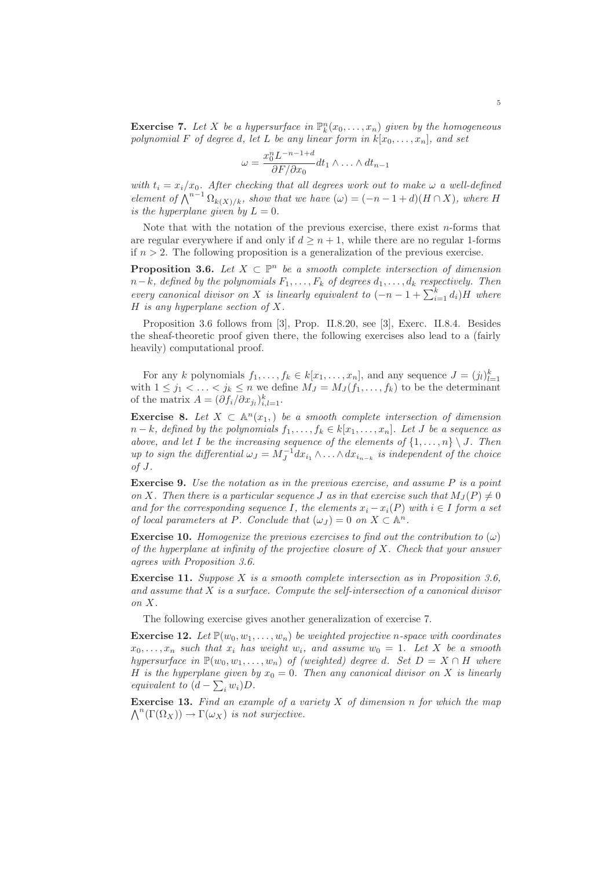**Exercise 7.** Let X be a hypersurface in  $\mathbb{P}_k^n(x_0,\ldots,x_n)$  given by the homogeneous polynomial F of degree d, let L be any linear form in  $k[x_0,...,x_n]$ , and set

$$
\omega = \frac{x_0^n L^{-n-1+d}}{\partial F/\partial x_0} dt_1 \wedge \ldots \wedge dt_{n-1}
$$

with  $t_i = x_i/x_0$ . After checking that all degrees work out to make  $\omega$  a well-defined element of  $\bigwedge^{n-1} \Omega_{k(X)/k}$ , show that we have  $(\omega) = (-n-1+d)(H \cap X)$ , where H is the hyperplane given by  $L = 0$ .

Note that with the notation of the previous exercise, there exist n-forms that are regular everywhere if and only if  $d \geq n + 1$ , while there are no regular 1-forms if  $n > 2$ . The following proposition is a generalization of the previous exercise.

**Proposition 3.6.** Let  $X \subset \mathbb{P}^n$  be a smooth complete intersection of dimension  $n-k$ , defined by the polynomials  $F_1,\ldots,F_k$  of degrees  $d_1,\ldots,d_k$  respectively. Then every canonical divisor on X is linearly equivalent to  $(-n-1+\sum_{i=1}^k d_i)H$  where H is any hyperplane section of  $X$ .

Proposition 3.6 follows from [3], Prop. II.8.20, see [3], Exerc. II.8.4. Besides the sheaf-theoretic proof given there, the following exercises also lead to a (fairly heavily) computational proof.

For any k polynomials  $f_1, \ldots, f_k \in k[x_1, \ldots, x_n]$ , and any sequence  $J = (j_l)_{l=1}^k$  with  $1 \leq j_1 < \ldots < j_k \leq n$  we define  $M_J = M_J(f_1, \ldots, f_k)$  to be the determinant of the matrix  $A = (\partial f_i / \partial x_{j_l})_{i,l=1}^k$ .

**Exercise 8.** Let  $X \subset \mathbb{A}^n(x_1)$  be a smooth complete intersection of dimension  $n-k$ , defined by the polynomials  $f_1,\ldots,f_k\in k[x_1,\ldots,x_n]$ . Let J be a sequence as above, and let I be the increasing sequence of the elements of  $\{1,\ldots,n\} \setminus J$ . Then up to sign the differential  $\omega_J = M_J^{-1} dx_{i_1} \wedge \ldots \wedge dx_{i_{n-k}}$  is independent of the choice  $of J.$ 

Exercise 9. Use the notation as in the previous exercise, and assume P is a point on X. Then there is a particular sequence J as in that exercise such that  $M_J(P) \neq 0$ and for the corresponding sequence I, the elements  $x_i - x_i(P)$  with  $i \in I$  form a set of local parameters at P. Conclude that  $(\omega_J) = 0$  on  $X \subset \mathbb{A}^n$ .

**Exercise 10.** Homogenize the previous exercises to find out the contribution to  $(\omega)$ of the hyperplane at infinity of the projective closure of  $X$ . Check that your answer agrees with Proposition 3.6.

**Exercise 11.** Suppose X is a smooth complete intersection as in Proposition 3.6, and assume that  $X$  is a surface. Compute the self-intersection of a canonical divisor on X.

The following exercise gives another generalization of exercise 7.

**Exercise 12.** Let  $\mathbb{P}(w_0, w_1, \ldots, w_n)$  be weighted projective n-space with coordinates  $x_0, \ldots, x_n$  such that  $x_i$  has weight  $w_i$ , and assume  $w_0 = 1$ . Let X be a smooth hypersurface in  $\mathbb{P}(w_0, w_1, \ldots, w_n)$  of (weighted) degree d. Set  $D = X \cap H$  where H is the hyperplane given by  $x_0 = 0$ . Then any canonical divisor on X is linearly equivalent to  $(d - \sum_i w_i)D$ .

**Exercise 13.** Find an example of a variety  $X$  of dimension n for which the map  $\bigwedge^n(\Gamma(\Omega_X)) \to \Gamma(\omega_X)$  is not surjective.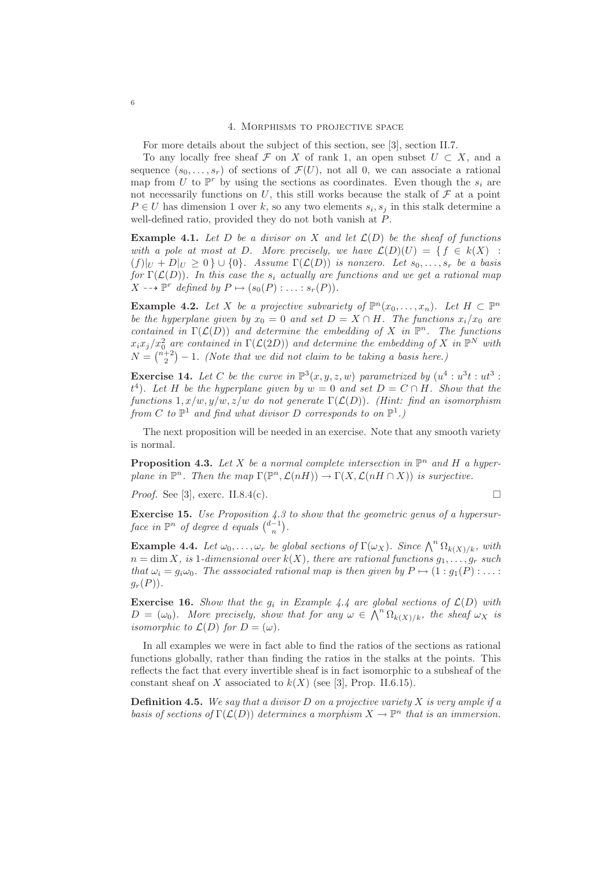For more details about the subject of this section, see [3], section II.7.

To any locally free sheaf F on X of rank 1, an open subset  $U \subset X$ , and a sequence  $(s_0, \ldots, s_r)$  of sections of  $\mathcal{F}(U)$ , not all 0, we can associate a rational map from U to  $\mathbb{P}^r$  by using the sections as coordinates. Even though the  $s_i$  are not necessarily functions on U, this still works because the stalk of  $\mathcal F$  at a point  $P \in U$  has dimension 1 over k, so any two elements  $s_i, s_j$  in this stalk determine a well-defined ratio, provided they do not both vanish at P.

**Example 4.1.** Let D be a divisor on X and let  $\mathcal{L}(D)$  be the sheaf of functions with a pole at most at D. More precisely, we have  $\mathcal{L}(D)(U) = \{f \in k(X) :$  $(f)|_{U} + D|_{U} \geq 0 \} \cup \{0\}.$  Assume  $\Gamma(\mathcal{L}(D))$  is nonzero. Let  $s_0, \ldots, s_r$  be a basis for  $\Gamma(\mathcal{L}(D))$ . In this case the s<sub>i</sub> actually are functions and we get a rational map  $X \dashrightarrow \mathbb{P}^r$  defined by  $P \mapsto (s_0(P) : \ldots : s_r(P)).$ 

**Example 4.2.** Let X be a projective subvariety of  $\mathbb{P}^n(x_0,\ldots,x_n)$ . Let  $H \subset \mathbb{P}^n$ be the hyperplane given by  $x_0 = 0$  and set  $D = X \cap H$ . The functions  $x_i/x_0$  are contained in  $\Gamma(\mathcal{L}(D))$  and determine the embedding of X in  $\mathbb{P}^n$ . The functions  $x_ix_j/x_0^2$  are contained in  $\Gamma(\mathcal{L}(2D))$  and determine the embedding of X in  $\mathbb{P}^N$  with  $N = \binom{n+2}{2} - 1$ . (Note that we did not claim to be taking a basis here.)

**Exercise 14.** Let C be the curve in  $\mathbb{P}^3(x, y, z, w)$  parametrized by  $(u^4 : u^3t : ut^3 :$  $t^4$ ). Let H be the hyperplane given by  $w = 0$  and set  $D = C \cap H$ . Show that the functions  $1, x/w, y/w, z/w$  do not generate  $\Gamma(\mathcal{L}(D))$ . (Hint: find an isomorphism from C to  $\mathbb{P}^1$  and find what divisor D corresponds to on  $\mathbb{P}^1$ .)

The next proposition will be needed in an exercise. Note that any smooth variety is normal.

**Proposition 4.3.** Let X be a normal complete intersection in  $\mathbb{P}^n$  and H a hyperplane in  $\mathbb{P}^n$ . Then the map  $\Gamma(\mathbb{P}^n, \mathcal{L}(nH)) \to \Gamma(X, \mathcal{L}(nH \cap X))$  is surjective.

*Proof.* See [3], exerc. II.8.4(c).

**Exercise 15.** Use Proposition 4.3 to show that the geometric genus of a hypersurface in  $\mathbb{P}^n$  of degree d equals  $\binom{d-1}{n}$ .

**Example 4.4.** Let  $\omega_0, \ldots, \omega_r$  be global sections of  $\Gamma(\omega_X)$ . Since  $\bigwedge^n \Omega_{k(X)/k}$ , with  $n = \dim X$ , is 1-dimensional over  $k(X)$ , there are rational functions  $q_1, \ldots, q_r$  such that  $\omega_i = g_i \omega_0$ . The asssociated rational map is then given by  $P \mapsto (1 : g_1(P) : \dots$  $q_r(P)$ .

**Exercise 16.** Show that the  $g_i$  in Example 4.4 are global sections of  $\mathcal{L}(D)$  with  $D = (\omega_0)$ . More precisely, show that for any  $\omega \in \bigwedge^n \Omega_{k(X)/k}$ , the sheaf  $\omega_X$  is *isomorphic to*  $\mathcal{L}(D)$  *for*  $D = (\omega)$ *.* 

In all examples we were in fact able to find the ratios of the sections as rational functions globally, rather than finding the ratios in the stalks at the points. This reflects the fact that every invertible sheaf is in fact isomorphic to a subsheaf of the constant sheaf on X associated to  $k(X)$  (see [3], Prop. II.6.15).

**Definition 4.5.** We say that a divisor  $D$  on a projective variety  $X$  is very ample if a basis of sections of  $\Gamma(\mathcal{L}(D))$  determines a morphism  $X \to \mathbb{P}^n$  that is an immersion.